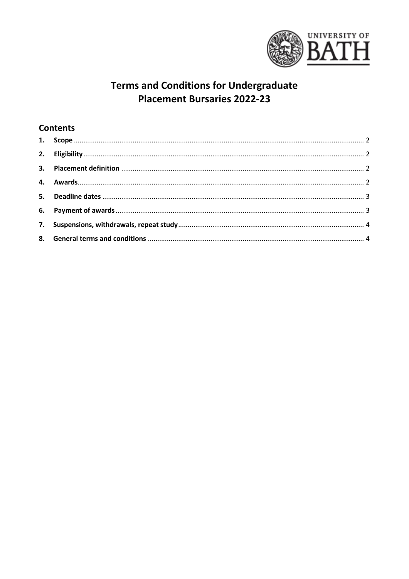

# **Terms and Conditions for Undergraduate Placement Bursaries 2022-23**

## **Contents**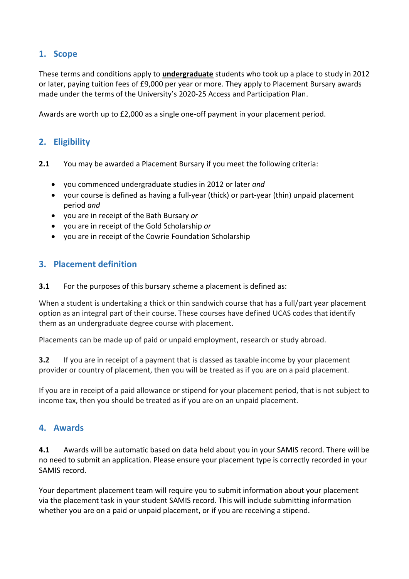### <span id="page-1-0"></span>**1. Scope**

These terms and conditions apply to **undergraduate** students who took up a place to study in 2012 or later, paying tuition fees of £9,000 per year or more. They apply to Placement Bursary awards made under the terms of the University's 2020-25 Access and Participation Plan.

<span id="page-1-1"></span>Awards are worth up to £2,000 as a single one-off payment in your placement period.

### **2. Eligibility**

- **2.1** You may be awarded a Placement Bursary if you meet the following criteria:
	- you commenced undergraduate studies in 2012 or later *and*
	- your course is defined as having a full-year (thick) or part-year (thin) unpaid placement period *and*
	- you are in receipt of the Bath Bursary *or*
	- you are in receipt of the Gold Scholarship *or*
	- you are in receipt of the Cowrie Foundation Scholarship

#### <span id="page-1-2"></span>**3. Placement definition**

#### **3.1** For the purposes of this bursary scheme a placement is defined as:

When a student is undertaking a thick or thin sandwich course that has a full/part year placement option as an integral part of their course. These courses have defined UCAS codes that identify them as an undergraduate degree course with placement.

Placements can be made up of paid or unpaid employment, research or study abroad.

**3.2** If you are in receipt of a payment that is classed as taxable income by your placement provider or country of placement, then you will be treated as if you are on a paid placement.

If you are in receipt of a paid allowance or stipend for your placement period, that is not subject to income tax, then you should be treated as if you are on an unpaid placement.

#### <span id="page-1-3"></span>**4. Awards**

**4.1** Awards will be automatic based on data held about you in your SAMIS record. There will be no need to submit an application. Please ensure your placement type is correctly recorded in your SAMIS record.

Your department placement team will require you to submit information about your placement via the placement task in your student SAMIS record. This will include submitting information whether you are on a paid or unpaid placement, or if you are receiving a stipend.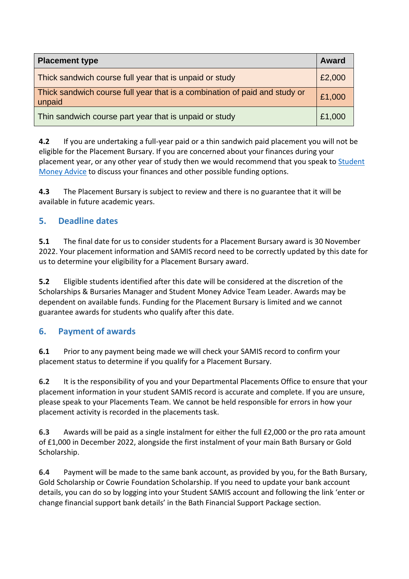| <b>Placement type</b>                                                                | <b>Award</b> |
|--------------------------------------------------------------------------------------|--------------|
| Thick sandwich course full year that is unpaid or study                              | £2,000       |
| Thick sandwich course full year that is a combination of paid and study or<br>unpaid | £1,000       |
| Thin sandwich course part year that is unpaid or study                               |              |

**4.2** If you are undertaking a full-year paid or a thin sandwich paid placement you will not be eligible for the Placement Bursary. If you are concerned about your finances during your placement year, or any other year of study then we would recommend that you speak to [Student](https://www.bath.ac.uk/professional-services/student-money-advice/)  [Money](https://www.bath.ac.uk/professional-services/student-money-advice/) Advice to discuss your finances and other possible funding options.

**4.3** The Placement Bursary is subject to review and there is no guarantee that it will be available in future academic years.

## <span id="page-2-0"></span>**5. Deadline dates**

**5.1** The final date for us to consider students for a Placement Bursary award is 30 November 2022. Your placement information and SAMIS record need to be correctly updated by this date for us to determine your eligibility for a Placement Bursary award.

**5.2** Eligible students identified after this date will be considered at the discretion of the Scholarships & Bursaries Manager and Student Money Advice Team Leader. Awards may be dependent on available funds. Funding for the Placement Bursary is limited and we cannot guarantee awards for students who qualify after this date.

### <span id="page-2-1"></span>**6. Payment of awards**

**6.1** Prior to any payment being made we will check your SAMIS record to confirm your placement status to determine if you qualify for a Placement Bursary.

**6.2** It is the responsibility of you and your Departmental Placements Office to ensure that your placement information in your student SAMIS record is accurate and complete. If you are unsure, please speak to your Placements Team. We cannot be held responsible for errors in how your placement activity is recorded in the placements task.

**6.3** Awards will be paid as a single instalment for either the full £2,000 or the pro rata amount of £1,000 in December 2022, alongside the first instalment of your main Bath Bursary or Gold Scholarship.

**6.4** Payment will be made to the same bank account, as provided by you, for the Bath Bursary, Gold Scholarship or Cowrie Foundation Scholarship. If you need to update your bank account details, you can do so by logging into your Student SAMIS account and following the link 'enter or change financial support bank details' in the Bath Financial Support Package section.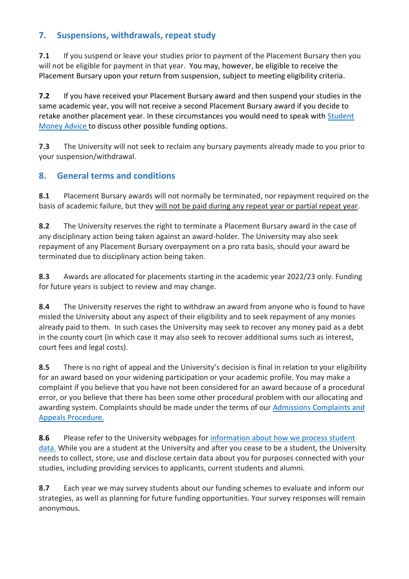## <span id="page-3-0"></span>**7. Suspensions, withdrawals, repeat study**

**7.1** If you suspend or leave your studies prior to payment of the Placement Bursary then you will not be eligible for payment in that year. You may, however, be eligible to receive the Placement Bursary upon your return from suspension, subject to meeting eligibility criteria.

**7.2** If you have received your Placement Bursary award and then suspend your studies in the same academic year, you will not receive a second Placement Bursary award if you decide to retake another placement year. In these circumstances you would need to speak with Student Money [Advice t](https://www.bath.ac.uk/professional-services/student-money-advice/)o discuss other possible funding options.

**7.3** The University will not seek to reclaim any bursary payments already made to you prior to your suspension/withdrawal.

## <span id="page-3-1"></span>**8. General terms and conditions**

**8.1** Placement Bursary awards will not normally be terminated, nor repayment required on the basis of academic failure, but they will not be paid during any repeat year or partial repeat year.

**8.2** The University reserves the right to terminate a Placement Bursary award in the case of any disciplinary action being taken against an award-holder. The University may also seek repayment of any Placement Bursary overpayment on a pro rata basis, should your award be terminated due to disciplinary action being taken.

**8.3** Awards are allocated for placements starting in the academic year 2022/23 only. Funding for future years is subject to review and may change.

**8.4** The University reserves the right to withdraw an award from anyone who is found to have misled the University about any aspect of their eligibility and to seek repayment of any monies already paid to them. In such cases the University may seek to recover any money paid as a debt in the county court (in which case it may also seek to recover additional sums such as interest, court fees and legal costs).

**8.5** There is no right of appeal and the University's decision is final in relation to your eligibility for an award based on your widening participation or your academic profile. You may make a complaint if you believe that you have not been considered for an award because of a procedural error, or you believe that there has been some other procedural problem with our allocating and awarding system. Complaints should be made under the terms of our [Admissions Complaints and](https://www.bath.ac.uk/corporate-information/applicant-complaints-and-appeals-procedure/)  [Appeals Procedure.](https://www.bath.ac.uk/corporate-information/applicant-complaints-and-appeals-procedure/)

**8.6** Please refer to the University webpages for [information about how we process student](https://www.bath.ac.uk/guides/data-protection-statement-for-student-registration/)  [data.](https://www.bath.ac.uk/guides/data-protection-statement-for-student-registration/) While you are a student at the University and after you cease to be a student, the University needs to collect, store, use and disclose certain data about you for purposes connected with your studies, including providing services to applicants, current students and alumni.

**8.7** Each year we may survey students about our funding schemes to evaluate and inform our strategies, as well as planning for future funding opportunities. Your survey responses will remain anonymous.